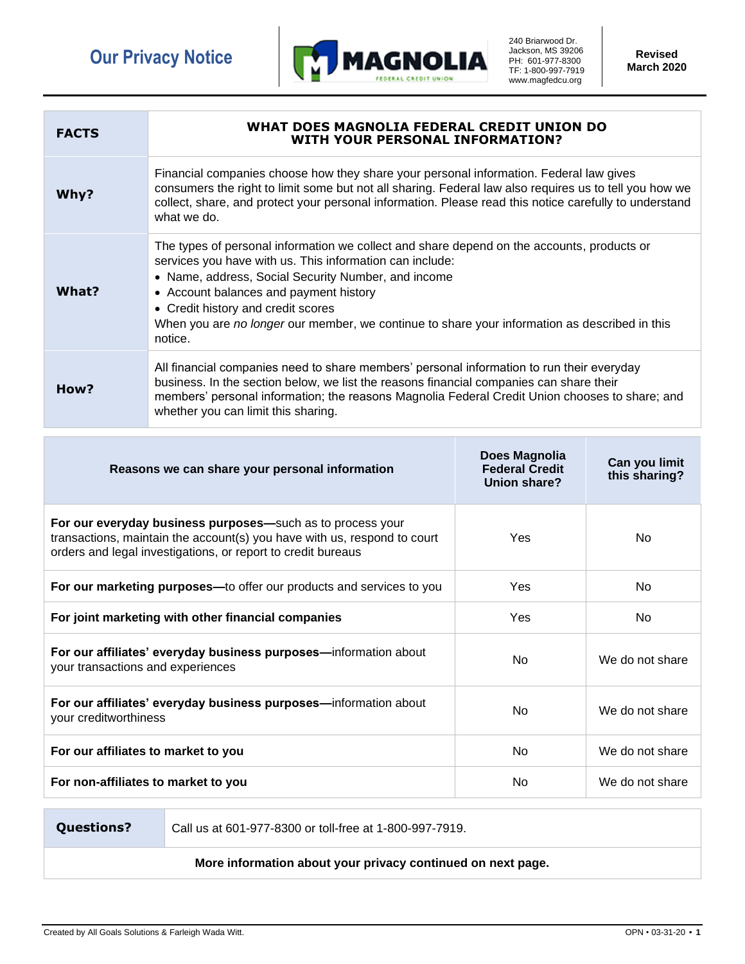

240 Briarwood Dr. Jackson, MS 39206 PH: 601-977-8300 TF: 1-800-997-7919 www.magfedcu.org

**Revised March 2020**

| <b>FACTS</b> | WHAT DOES MAGNOLIA FEDERAL CREDIT UNION DO<br><b>WITH YOUR PERSONAL INFORMATION?</b>                                                                                                                                                                                                                                                                                                                      |
|--------------|-----------------------------------------------------------------------------------------------------------------------------------------------------------------------------------------------------------------------------------------------------------------------------------------------------------------------------------------------------------------------------------------------------------|
| Why?         | Financial companies choose how they share your personal information. Federal law gives<br>consumers the right to limit some but not all sharing. Federal law also requires us to tell you how we<br>collect, share, and protect your personal information. Please read this notice carefully to understand<br>what we do.                                                                                 |
| What?        | The types of personal information we collect and share depend on the accounts, products or<br>services you have with us. This information can include:<br>• Name, address, Social Security Number, and income<br>• Account balances and payment history<br>• Credit history and credit scores<br>When you are no longer our member, we continue to share your information as described in this<br>notice. |
| How?         | All financial companies need to share members' personal information to run their everyday<br>business. In the section below, we list the reasons financial companies can share their<br>members' personal information; the reasons Magnolia Federal Credit Union chooses to share; and<br>whether you can limit this sharing.                                                                             |

| Reasons we can share your personal information                                                                                                                                                         | Does Magnolia<br><b>Federal Credit</b><br>Union share? | Can you limit<br>this sharing? |
|--------------------------------------------------------------------------------------------------------------------------------------------------------------------------------------------------------|--------------------------------------------------------|--------------------------------|
| For our everyday business purposes-such as to process your<br>transactions, maintain the account(s) you have with us, respond to court<br>orders and legal investigations, or report to credit bureaus | Yes                                                    | No                             |
| For our marketing purposes-to offer our products and services to you                                                                                                                                   | Yes                                                    | No.                            |
| For joint marketing with other financial companies                                                                                                                                                     | Yes                                                    | No.                            |
| For our affiliates' everyday business purposes-information about<br>your transactions and experiences                                                                                                  | No                                                     | We do not share                |
| For our affiliates' everyday business purposes—information about<br>your creditworthiness                                                                                                              | No                                                     | We do not share                |
| For our affiliates to market to you                                                                                                                                                                    | N <sub>0</sub>                                         | We do not share                |
| For non-affiliates to market to you                                                                                                                                                                    | No                                                     | We do not share                |

**Questions?** Call us at 601-977-8300 or toll-free at 1-800-997-7919.

**More information about your privacy continued on next page.**